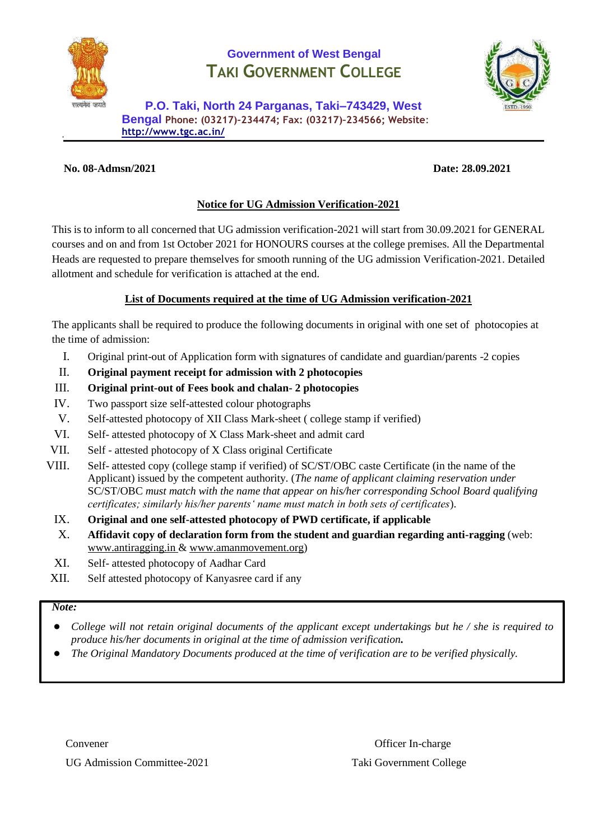

# **Government of West Bengal TAKI GOVERNMENT COLLEGE**



**P.O. Taki, North 24 Parganas, Taki–743429, West Bengal Phone: (03217)–234474; Fax: (03217)–234566; Website**: **<http://www.tgc.ac.in/>**

### **No. 08-Admsn/2021 Date: 28.09.2021**

# **Notice for UG Admission Verification-2021**

This is to inform to all concerned that UG admission verification-2021 will start from 30.09.2021 for GENERAL courses and on and from 1st October 2021 for HONOURS courses at the college premises. All the Departmental Heads are requested to prepare themselves for smooth running of the UG admission Verification-2021. Detailed allotment and schedule for verification is attached at the end.

# **List of Documents required at the time of UG Admission verification-2021**

The applicants shall be required to produce the following documents in original with one set of photocopies at the time of admission:

- I. Original print-out of Application form with signatures of candidate and guardian/parents -2 copies
- II. **Original payment receipt for admission with 2 photocopies**
- III. **Original print-out of Fees book and chalan- 2 photocopies**
- IV. Two passport size self-attested colour photographs
- V. Self-attested photocopy of XII Class Mark-sheet ( college stamp if verified)
- VI. Self- attested photocopy of X Class Mark-sheet and admit card
- VII. Self attested photocopy of X Class original Certificate
- VIII. Self- attested copy (college stamp if verified) of SC/ST/OBC caste Certificate (in the name of the Applicant) issued by the competent authority. (*The name of applicant claiming reservation under*  SC/ST/OBC *must match with the name that appear on his/her corresponding School Board qualifying certificates; similarly his/her parents' name must match in both sets of certificates*).
	- IX. **Original and one self-attested photocopy of PWD certificate, if applicable**
	- X. **Affidavit copy of declaration form from the student and guardian regarding anti-ragging** (web: [www.antiragging.in](http://www.antiragging.in/) & [www.amanmovement.org\)](http://www.amanmovement.org/)
	- XI. Self- attested photocopy of Aadhar Card
- XII. Self attested photocopy of Kanyasree card if any

#### *Note:*

- *College will not retain original documents of the applicant except undertakings but he / she is required to produce his/her documents in original at the time of admission verification.*
- *The Original Mandatory Documents produced at the time of verification are to be verified physically.*

UG Admission Committee-2021 Taki Government College

Convener **Convention** Convention Convention Convention Convention Convention Convention Convention Convention Convention Convention Convention Convention Convention Convention Convention Convention Convention Convention Co